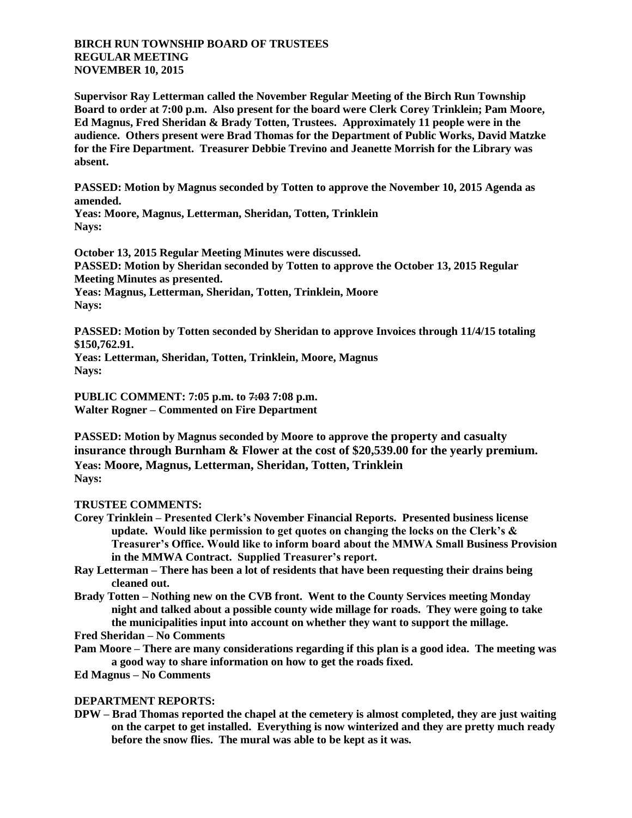## **BIRCH RUN TOWNSHIP BOARD OF TRUSTEES REGULAR MEETING NOVEMBER 10, 2015**

**Supervisor Ray Letterman called the November Regular Meeting of the Birch Run Township Board to order at 7:00 p.m. Also present for the board were Clerk Corey Trinklein; Pam Moore, Ed Magnus, Fred Sheridan & Brady Totten, Trustees. Approximately 11 people were in the audience. Others present were Brad Thomas for the Department of Public Works, David Matzke for the Fire Department. Treasurer Debbie Trevino and Jeanette Morrish for the Library was absent.**

**PASSED: Motion by Magnus seconded by Totten to approve the November 10, 2015 Agenda as amended.**

**Yeas: Moore, Magnus, Letterman, Sheridan, Totten, Trinklein Nays:** 

**October 13, 2015 Regular Meeting Minutes were discussed. PASSED: Motion by Sheridan seconded by Totten to approve the October 13, 2015 Regular Meeting Minutes as presented. Yeas: Magnus, Letterman, Sheridan, Totten, Trinklein, Moore Nays:** 

**PASSED: Motion by Totten seconded by Sheridan to approve Invoices through 11/4/15 totaling \$150,762.91.**

**Yeas: Letterman, Sheridan, Totten, Trinklein, Moore, Magnus Nays:** 

**PUBLIC COMMENT: 7:05 p.m. to 7:03 7:08 p.m. Walter Rogner – Commented on Fire Department**

**PASSED: Motion by Magnus seconded by Moore to approve the property and casualty insurance through Burnham & Flower at the cost of \$20,539.00 for the yearly premium. Yeas: Moore, Magnus, Letterman, Sheridan, Totten, Trinklein Nays:** 

## **TRUSTEE COMMENTS:**

- **Corey Trinklein – Presented Clerk's November Financial Reports. Presented business license update. Would like permission to get quotes on changing the locks on the Clerk's & Treasurer's Office. Would like to inform board about the MMWA Small Business Provision in the MMWA Contract. Supplied Treasurer's report.**
- **Ray Letterman – There has been a lot of residents that have been requesting their drains being cleaned out.**
- **Brady Totten – Nothing new on the CVB front. Went to the County Services meeting Monday night and talked about a possible county wide millage for roads. They were going to take the municipalities input into account on whether they want to support the millage.**

**Fred Sheridan – No Comments**

- **Pam Moore – There are many considerations regarding if this plan is a good idea. The meeting was a good way to share information on how to get the roads fixed.**
- **Ed Magnus – No Comments**

## **DEPARTMENT REPORTS:**

**DPW – Brad Thomas reported the chapel at the cemetery is almost completed, they are just waiting on the carpet to get installed. Everything is now winterized and they are pretty much ready before the snow flies. The mural was able to be kept as it was.**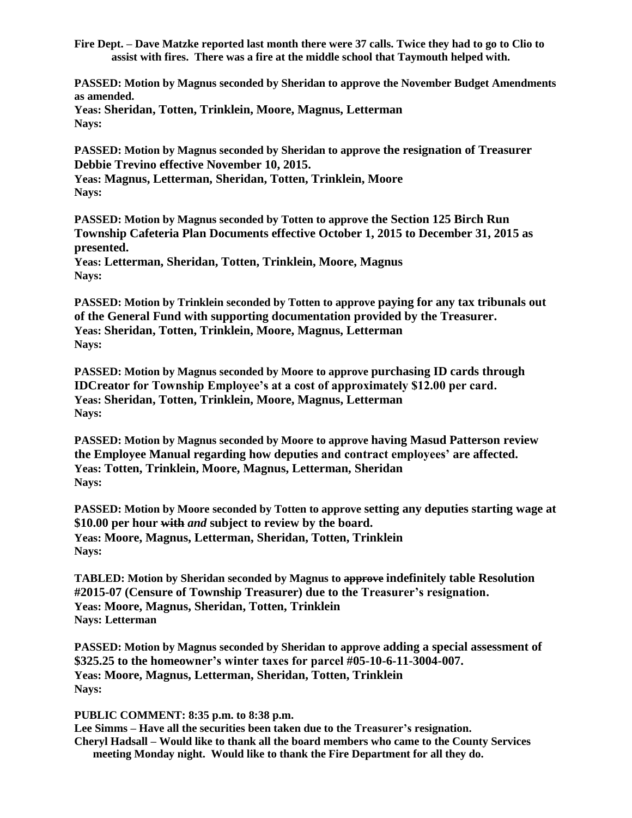**Fire Dept. – Dave Matzke reported last month there were 37 calls. Twice they had to go to Clio to assist with fires. There was a fire at the middle school that Taymouth helped with.**

**PASSED: Motion by Magnus seconded by Sheridan to approve the November Budget Amendments as amended. Yeas: Sheridan, Totten, Trinklein, Moore, Magnus, Letterman Nays:** 

**PASSED: Motion by Magnus seconded by Sheridan to approve the resignation of Treasurer Debbie Trevino effective November 10, 2015. Yeas: Magnus, Letterman, Sheridan, Totten, Trinklein, Moore Nays:** 

**PASSED: Motion by Magnus seconded by Totten to approve the Section 125 Birch Run Township Cafeteria Plan Documents effective October 1, 2015 to December 31, 2015 as presented.**

**Yeas: Letterman, Sheridan, Totten, Trinklein, Moore, Magnus Nays:** 

**PASSED: Motion by Trinklein seconded by Totten to approve paying for any tax tribunals out of the General Fund with supporting documentation provided by the Treasurer. Yeas: Sheridan, Totten, Trinklein, Moore, Magnus, Letterman Nays:** 

**PASSED: Motion by Magnus seconded by Moore to approve purchasing ID cards through IDCreator for Township Employee's at a cost of approximately \$12.00 per card. Yeas: Sheridan, Totten, Trinklein, Moore, Magnus, Letterman Nays:** 

**PASSED: Motion by Magnus seconded by Moore to approve having Masud Patterson review the Employee Manual regarding how deputies and contract employees' are affected. Yeas: Totten, Trinklein, Moore, Magnus, Letterman, Sheridan Nays:** 

**PASSED: Motion by Moore seconded by Totten to approve setting any deputies starting wage at \$10.00 per hour with** *and* **subject to review by the board. Yeas: Moore, Magnus, Letterman, Sheridan, Totten, Trinklein Nays:** 

**TABLED: Motion by Sheridan seconded by Magnus to approve indefinitely table Resolution #2015-07 (Censure of Township Treasurer) due to the Treasurer's resignation. Yeas: Moore, Magnus, Sheridan, Totten, Trinklein Nays: Letterman**

**PASSED: Motion by Magnus seconded by Sheridan to approve adding a special assessment of \$325.25 to the homeowner's winter taxes for parcel #05-10-6-11-3004-007. Yeas: Moore, Magnus, Letterman, Sheridan, Totten, Trinklein Nays:** 

**PUBLIC COMMENT: 8:35 p.m. to 8:38 p.m.**

**Lee Simms – Have all the securities been taken due to the Treasurer's resignation. Cheryl Hadsall – Would like to thank all the board members who came to the County Services meeting Monday night. Would like to thank the Fire Department for all they do.**